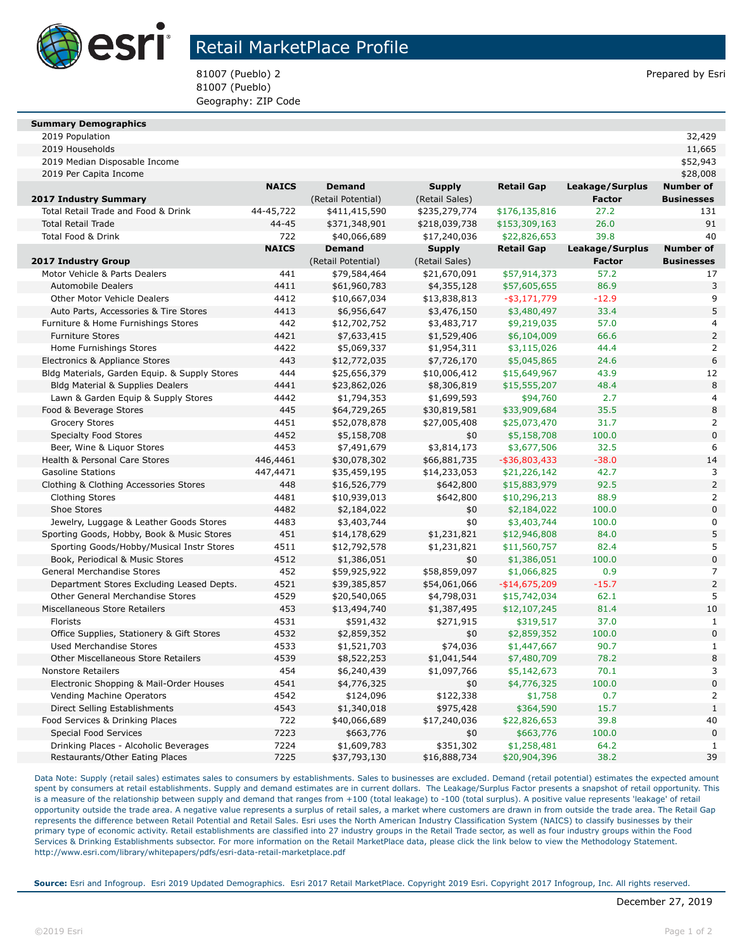

## Retail MarketPlace Profile

81007 (Pueblo) 2 **Prepared by Esri** Prepared by Esri 81007 (Pueblo) Geography: ZIP Code

| <b>Summary Demographics</b> |  |
|-----------------------------|--|

2019 Population 32,429

| 2019 Households                                                       |              |                          |                  |                          |                 | 11,665                           |
|-----------------------------------------------------------------------|--------------|--------------------------|------------------|--------------------------|-----------------|----------------------------------|
| 2019 Median Disposable Income                                         |              |                          |                  |                          |                 | \$52,943                         |
| 2019 Per Capita Income                                                |              |                          |                  |                          |                 | \$28,008                         |
|                                                                       | <b>NAICS</b> | <b>Demand</b>            | <b>Supply</b>    | <b>Retail Gap</b>        | Leakage/Surplus | <b>Number of</b>                 |
| 2017 Industry Summary                                                 |              | (Retail Potential)       | (Retail Sales)   |                          | <b>Factor</b>   | <b>Businesses</b>                |
| Total Retail Trade and Food & Drink                                   | 44-45,722    | \$411,415,590            | \$235,279,774    | \$176,135,816            | 27.2            | 131                              |
| <b>Total Retail Trade</b>                                             | 44-45        | \$371,348,901            | \$218,039,738    | \$153,309,163            | 26.0            | 91                               |
| Total Food & Drink                                                    | 722          | \$40,066,689             | \$17,240,036     | \$22,826,653             | 39.8            | 40                               |
|                                                                       | <b>NAICS</b> | <b>Demand</b>            | <b>Supply</b>    | <b>Retail Gap</b>        | Leakage/Surplus | <b>Number of</b>                 |
| 2017 Industry Group                                                   |              | (Retail Potential)       | (Retail Sales)   |                          | <b>Factor</b>   | <b>Businesses</b>                |
| Motor Vehicle & Parts Dealers                                         | 441          | \$79,584,464             | \$21,670,091     | \$57,914,373             | 57.2            | 17                               |
| <b>Automobile Dealers</b>                                             | 4411         | \$61,960,783             | \$4,355,128      | \$57,605,655             | 86.9            | 3                                |
| Other Motor Vehicle Dealers                                           | 4412         | \$10,667,034             | \$13,838,813     | $-$ \$3,171,779          | $-12.9$         | 9                                |
| Auto Parts, Accessories & Tire Stores                                 | 4413         | \$6,956,647              | \$3,476,150      | \$3,480,497              | 33.4            | 5                                |
| Furniture & Home Furnishings Stores                                   | 442          | \$12,702,752             | \$3,483,717      | \$9,219,035              | 57.0            | 4                                |
| <b>Furniture Stores</b>                                               | 4421         | \$7,633,415              | \$1,529,406      | \$6,104,009              | 66.6            | $\overline{\mathbf{c}}$          |
| Home Furnishings Stores                                               | 4422         | \$5,069,337              | \$1,954,311      | \$3,115,026              | 44.4            | $\overline{a}$                   |
| Electronics & Appliance Stores                                        | 443          | \$12,772,035             | \$7,726,170      | \$5,045,865              | 24.6            | 6                                |
| Bldg Materials, Garden Equip. & Supply Stores                         | 444          | \$25,656,379             | \$10,006,412     | \$15,649,967             | 43.9            | 12                               |
| Bldg Material & Supplies Dealers                                      | 4441         | \$23,862,026             | \$8,306,819      | \$15,555,207             | 48.4            | 8                                |
| Lawn & Garden Equip & Supply Stores                                   | 4442         | \$1,794,353              | \$1,699,593      | \$94,760                 | 2.7             | 4                                |
| Food & Beverage Stores                                                | 445          | \$64,729,265             | \$30,819,581     | \$33,909,684             | 35.5            | 8                                |
| <b>Grocery Stores</b>                                                 | 4451         | \$52,078,878             | \$27,005,408     | \$25,073,470             | 31.7            | $\overline{a}$                   |
| <b>Specialty Food Stores</b>                                          | 4452         | \$5,158,708              | \$0              | \$5,158,708              | 100.0           | $\overline{0}$                   |
| Beer, Wine & Liquor Stores                                            | 4453         | \$7,491,679              | \$3,814,173      | \$3,677,506              | 32.5            | 6                                |
| Health & Personal Care Stores                                         | 446,4461     | \$30,078,302             | \$66,881,735     | $-$ \$36,803,433         | $-38.0$         | 14                               |
| <b>Gasoline Stations</b>                                              | 447,4471     | \$35,459,195             | \$14,233,053     | \$21,226,142             | 42.7            | 3                                |
| Clothing & Clothing Accessories Stores                                | 448          | \$16,526,779             | \$642,800        | \$15,883,979             | 92.5            | $\overline{2}$                   |
| <b>Clothing Stores</b>                                                | 4481         | \$10,939,013             | \$642,800        | \$10,296,213             | 88.9            | $\overline{\mathbf{c}}$          |
| Shoe Stores                                                           | 4482         | \$2,184,022              | \$0              | \$2,184,022              | 100.0           | $\overline{0}$                   |
| Jewelry, Luggage & Leather Goods Stores                               | 4483         | \$3,403,744              | \$0              | \$3,403,744              | 100.0           | $\overline{0}$                   |
| Sporting Goods, Hobby, Book & Music Stores                            | 451          | \$14,178,629             | \$1,231,821      | \$12,946,808             | 84.0            | 5                                |
| Sporting Goods/Hobby/Musical Instr Stores                             | 4511         | \$12,792,578             | \$1,231,821      | \$11,560,757             | 82.4            | 5                                |
| Book, Periodical & Music Stores                                       | 4512         | \$1,386,051              | \$0              | \$1,386,051              | 100.0           | $\overline{0}$                   |
| General Merchandise Stores                                            | 452          | \$59,925,922             | \$58,859,097     | \$1,066,825              | 0.9             | 7                                |
| Department Stores Excluding Leased Depts.                             | 4521         | \$39,385,857             | \$54,061,066     | $-$14,675,209$           | $-15.7$         | $\overline{a}$                   |
| Other General Merchandise Stores                                      | 4529         | \$20,540,065             | \$4,798,031      | \$15,742,034             | 62.1            | 5                                |
| Miscellaneous Store Retailers                                         | 453          | \$13,494,740             | \$1,387,495      | \$12,107,245             | 81.4            | 10                               |
| Florists                                                              | 4531         | \$591,432                | \$271,915        | \$319,517                | 37.0            | $\mathbf{1}$                     |
| Office Supplies, Stationery & Gift Stores                             | 4532         | \$2,859,352              | \$0              | \$2,859,352              | 100.0           | $\overline{0}$                   |
| <b>Used Merchandise Stores</b>                                        | 4533         | \$1,521,703              | \$74,036         | \$1,447,667              | 90.7            | $\mathbf{1}$                     |
| Other Miscellaneous Store Retailers                                   | 4539         | \$8,522,253              | \$1,041,544      | \$7,480,709              | 78.2            | 8                                |
| <b>Nonstore Retailers</b>                                             | 454          | \$6,240,439              | \$1,097,766      | \$5,142,673              | 70.1            | 3                                |
| Electronic Shopping & Mail-Order Houses                               | 4541         | \$4,776,325              | \$0              | \$4,776,325              | 100.0           | $\overline{0}$<br>$\overline{2}$ |
| Vending Machine Operators                                             | 4542         | \$124,096                | \$122,338        | \$1,758                  | 0.7             |                                  |
| Direct Selling Establishments                                         | 4543<br>722  | \$1,340,018              | \$975,428        | \$364,590                | 15.7<br>39.8    | $\mathbf{1}$<br>40               |
| Food Services & Drinking Places                                       | 7223         | \$40,066,689             | \$17,240,036     | \$22,826,653             | 100.0           | $\mathbf{0}$                     |
| <b>Special Food Services</b><br>Drinking Places - Alcoholic Beverages | 7224         | \$663,776<br>\$1,609,783 | \$0<br>\$351,302 | \$663,776<br>\$1,258,481 | 64.2            | $\mathbf{1}$                     |
| Restaurants/Other Eating Places                                       | 7225         | \$37,793,130             | \$16,888,734     | \$20,904,396             | 38.2            | 39                               |
|                                                                       |              |                          |                  |                          |                 |                                  |

Data Note: Supply (retail sales) estimates sales to consumers by establishments. Sales to businesses are excluded. Demand (retail potential) estimates the expected amount spent by consumers at retail establishments. Supply and demand estimates are in current dollars. The Leakage/Surplus Factor presents a snapshot of retail opportunity. This is a measure of the relationship between supply and demand that ranges from +100 (total leakage) to -100 (total surplus). A positive value represents 'leakage' of retail opportunity outside the trade area. A negative value represents a surplus of retail sales, a market where customers are drawn in from outside the trade area. The Retail Gap represents the difference between Retail Potential and Retail Sales. Esri uses the North American Industry Classification System (NAICS) to classify businesses by their primary type of economic activity. Retail establishments are classified into 27 industry groups in the Retail Trade sector, as well as four industry groups within the Food Services & Drinking Establishments subsector. For more information on the Retail MarketPlace data, please click the link below to view the Methodology Statement. http://www.esri.com/library/whitepapers/pdfs/esri-data-retail-marketplace.pdf

**Source:** Esri and Infogroup. Esri 2019 Updated Demographics. Esri 2017 Retail MarketPlace. Copyright 2019 Esri. Copyright 2017 Infogroup, Inc. All rights reserved.